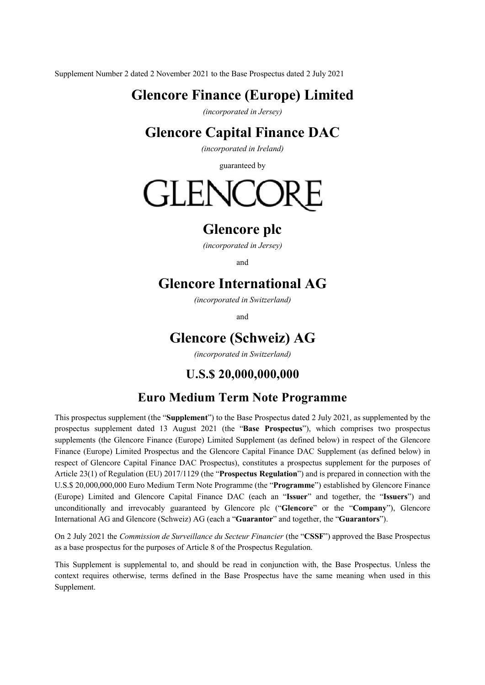Supplement Number 2 dated 2 November 2021 to the Base Prospectus dated 2 July 2021

# **Glencore Finance (Europe) Limited**

*(incorporated in Jersey)* 

## **Glencore Capital Finance DAC**

*(incorporated in Ireland)*

guaranteed by

# GLENCO

## **Glencore plc**

*(incorporated in Jersey)*

and

## **Glencore International AG**

*(incorporated in Switzerland)*

and

## **Glencore (Schweiz) AG**

*(incorporated in Switzerland)*

## **U.S.\$ 20,000,000,000**

### **Euro Medium Term Note Programme**

This prospectus supplement (the "**Supplement**") to the Base Prospectus dated 2 July 2021, as supplemented by the prospectus supplement dated 13 August 2021 (the "**Base Prospectus**"), which comprises two prospectus supplements (the Glencore Finance (Europe) Limited Supplement (as defined below) in respect of the Glencore Finance (Europe) Limited Prospectus and the Glencore Capital Finance DAC Supplement (as defined below) in respect of Glencore Capital Finance DAC Prospectus), constitutes a prospectus supplement for the purposes of Article 23(1) of Regulation (EU) 2017/1129 (the "**Prospectus Regulation**") and is prepared in connection with the U.S.\$ 20,000,000,000 Euro Medium Term Note Programme (the "**Programme**") established by Glencore Finance (Europe) Limited and Glencore Capital Finance DAC (each an "**Issuer**" and together, the "**Issuers**") and unconditionally and irrevocably guaranteed by Glencore plc ("**Glencore**" or the "**Company**"), Glencore International AG and Glencore (Schweiz) AG (each a "**Guarantor**" and together, the "**Guarantors**").

On 2 July 2021 the *Commission de Surveillance du Secteur Financier* (the "**CSSF**") approved the Base Prospectus as a base prospectus for the purposes of Article 8 of the Prospectus Regulation.

This Supplement is supplemental to, and should be read in conjunction with, the Base Prospectus. Unless the context requires otherwise, terms defined in the Base Prospectus have the same meaning when used in this Supplement.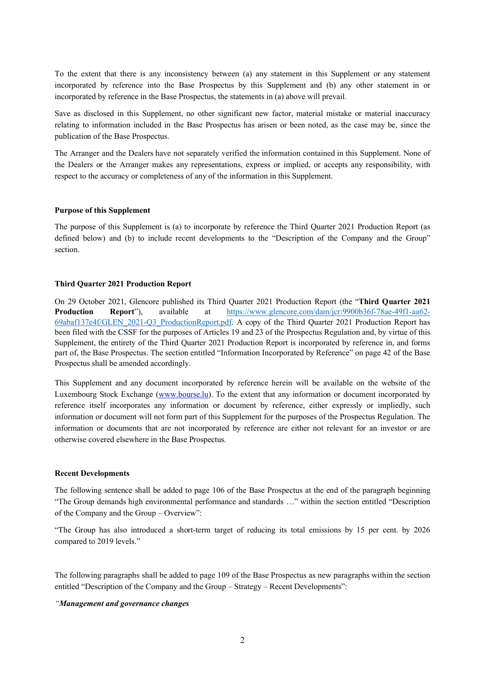To the extent that there is any inconsistency between (a) any statement in this Supplement or any statement incorporated by reference into the Base Prospectus by this Supplement and (b) any other statement in or incorporated by reference in the Base Prospectus, the statements in (a) above will prevail.

Save as disclosed in this Supplement, no other significant new factor, material mistake or material inaccuracy relating to information included in the Base Prospectus has arisen or been noted, as the case may be, since the publication of the Base Prospectus.

The Arranger and the Dealers have not separately verified the information contained in this Supplement. None of the Dealers or the Arranger makes any representations, express or implied, or accepts any responsibility, with respect to the accuracy or completeness of any of the information in this Supplement.

#### **Purpose of this Supplement**

The purpose of this Supplement is (a) to incorporate by reference the Third Quarter 2021 Production Report (as defined below) and (b) to include recent developments to the "Description of the Company and the Group" section.

#### **Third Quarter 2021 Production Report**

On 29 October 2021, Glencore published its Third Quarter 2021 Production Report (the "**Third Quarter 2021 Production Report**"), available at [https://www.glencore.com/dam/jcr:9900b36f-78ae-49f1-aa62-](https://www.glencore.com/dam/jcr:9900b36f-78ae-49f1-aa62-69abaf137e4f/GLEN_2021-Q3_ProductionReport.pdf) [69abaf137e4f/GLEN\\_2021-Q3\\_ProductionReport.pdf.](https://www.glencore.com/dam/jcr:9900b36f-78ae-49f1-aa62-69abaf137e4f/GLEN_2021-Q3_ProductionReport.pdf) A copy of the Third Quarter 2021 Production Report has been filed with the CSSF for the purposes of Articles 19 and 23 of the Prospectus Regulation and, by virtue of this Supplement, the entirety of the Third Quarter 2021 Production Report is incorporated by reference in, and forms part of, the Base Prospectus. The section entitled "Information Incorporated by Reference" on page 42 of the Base Prospectus shall be amended accordingly.

This Supplement and any document incorporated by reference herein will be available on the website of the Luxembourg Stock Exchange [\(www.bourse.lu\)](http://www.bourse.lu/). To the extent that any information or document incorporated by reference itself incorporates any information or document by reference, either expressly or impliedly, such information or document will not form part of this Supplement for the purposes of the Prospectus Regulation. The information or documents that are not incorporated by reference are either not relevant for an investor or are otherwise covered elsewhere in the Base Prospectus.

#### **Recent Developments**

The following sentence shall be added to page 106 of the Base Prospectus at the end of the paragraph beginning "The Group demands high environmental performance and standards …" within the section entitled "Description of the Company and the Group – Overview":

"The Group has also introduced a short-term target of reducing its total emissions by 15 per cent. by 2026 compared to 2019 levels."

The following paragraphs shall be added to page 109 of the Base Prospectus as new paragraphs within the section entitled "Description of the Company and the Group – Strategy – Recent Developments":

#### *"Management and governance changes*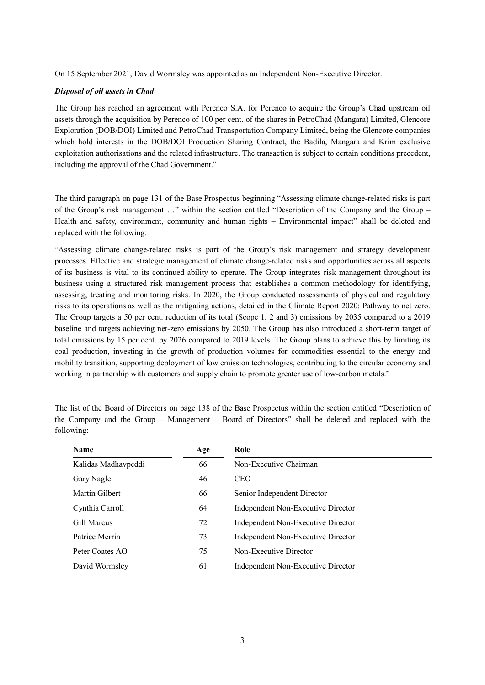On 15 September 2021, David Wormsley was appointed as an Independent Non-Executive Director.

#### *Disposal of oil assets in Chad*

The Group has reached an agreement with Perenco S.A. for Perenco to acquire the Group's Chad upstream oil assets through the acquisition by Perenco of 100 per cent. of the shares in PetroChad (Mangara) Limited, Glencore Exploration (DOB/DOI) Limited and PetroChad Transportation Company Limited, being the Glencore companies which hold interests in the DOB/DOI Production Sharing Contract, the Badila, Mangara and Krim exclusive exploitation authorisations and the related infrastructure. The transaction is subject to certain conditions precedent, including the approval of the Chad Government."

The third paragraph on page 131 of the Base Prospectus beginning "Assessing climate change-related risks is part of the Group's risk management …" within the section entitled "Description of the Company and the Group – Health and safety, environment, community and human rights – Environmental impact" shall be deleted and replaced with the following:

"Assessing climate change-related risks is part of the Group's risk management and strategy development processes. Effective and strategic management of climate change-related risks and opportunities across all aspects of its business is vital to its continued ability to operate. The Group integrates risk management throughout its business using a structured risk management process that establishes a common methodology for identifying, assessing, treating and monitoring risks. In 2020, the Group conducted assessments of physical and regulatory risks to its operations as well as the mitigating actions, detailed in the Climate Report 2020: Pathway to net zero. The Group targets a 50 per cent. reduction of its total (Scope 1, 2 and 3) emissions by 2035 compared to a 2019 baseline and targets achieving net-zero emissions by 2050. The Group has also introduced a short-term target of total emissions by 15 per cent. by 2026 compared to 2019 levels. The Group plans to achieve this by limiting its coal production, investing in the growth of production volumes for commodities essential to the energy and mobility transition, supporting deployment of low emission technologies, contributing to the circular economy and working in partnership with customers and supply chain to promote greater use of low-carbon metals."

| <b>Name</b>         | Age | Role                               |
|---------------------|-----|------------------------------------|
| Kalidas Madhavpeddi | 66  | Non-Executive Chairman             |
| Gary Nagle          | 46  | <b>CEO</b>                         |
| Martin Gilbert      | 66  | Senior Independent Director        |
| Cynthia Carroll     | 64  | Independent Non-Executive Director |
| Gill Marcus         | 72  | Independent Non-Executive Director |
| Patrice Merrin      | 73  | Independent Non-Executive Director |
| Peter Coates AO     | 75  | Non-Executive Director             |
| David Wormsley      | 61  | Independent Non-Executive Director |

The list of the Board of Directors on page 138 of the Base Prospectus within the section entitled "Description of the Company and the Group – Management – Board of Directors" shall be deleted and replaced with the following: